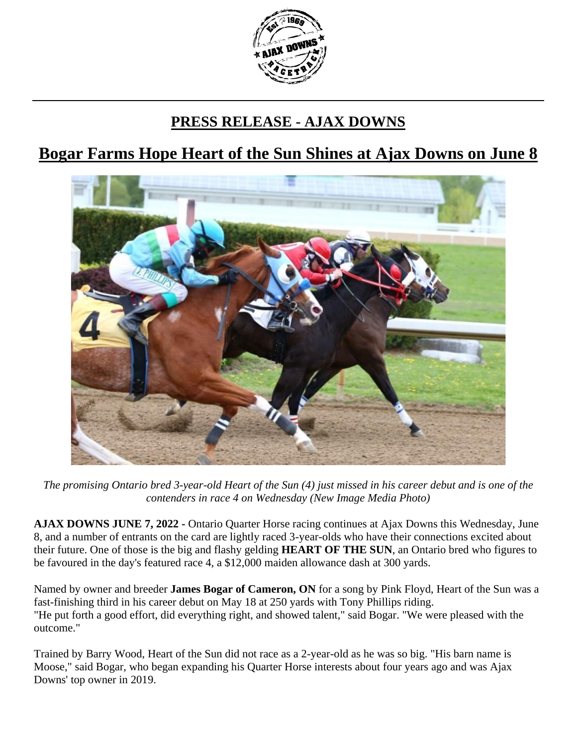

## **PRESS RELEASE - AJAX DOWNS**

## **Bogar Farms Hope Heart of the Sun Shines at Ajax Downs on June 8**



*The promising Ontario bred 3-year-old Heart of the Sun (4) just missed in his career debut and is one of the contenders in race 4 on Wednesday (New Image Media Photo)*

**AJAX DOWNS JUNE 7, 2022 -** Ontario Quarter Horse racing continues at Ajax Downs this Wednesday, June 8, and a number of entrants on the card are lightly raced 3-year-olds who have their connections excited about their future. One of those is the big and flashy gelding **HEART OF THE SUN**, an Ontario bred who figures to be favoured in the day's featured race 4, a \$12,000 maiden allowance dash at 300 yards.

Named by owner and breeder **James Bogar of Cameron, ON** for a song by Pink Floyd, Heart of the Sun was a fast-finishing third in his career debut on May 18 at 250 yards with Tony Phillips riding. "He put forth a good effort, did everything right, and showed talent," said Bogar. "We were pleased with the outcome."

Trained by Barry Wood, Heart of the Sun did not race as a 2-year-old as he was so big. "His barn name is Moose," said Bogar, who began expanding his Quarter Horse interests about four years ago and was Ajax Downs' top owner in 2019.